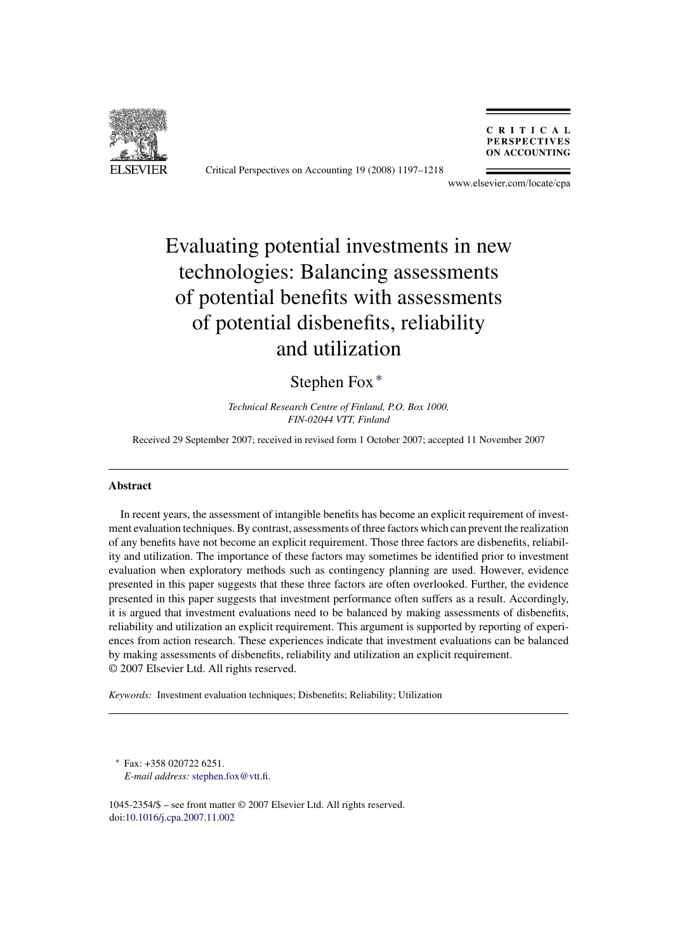

Critical Perspectives on Accounting 19 (2008) 1197–1218

CRITICAL **PERSPECTIVES ON ACCOUNTING** 

www.elsevier.com/locate/cpa

# Evaluating potential investments in new technologies: Balancing assessments of potential benefits with assessments of potential disbenefits, reliability and utilization

### Stephen Fox ∗

*Technical Research Centre of Finland, P.O. Box 1000, FIN-02044 VTT, Finland*

Received 29 September 2007; received in revised form 1 October 2007; accepted 11 November 2007

#### **Abstract**

In recent years, the assessment of intangible benefits has become an explicit requirement of investment evaluation techniques. By contrast, assessments of three factors which can prevent the realization of any benefits have not become an explicit requirement. Those three factors are disbenefits, reliability and utilization. The importance of these factors may sometimes be identified prior to investment evaluation when exploratory methods such as contingency planning are used. However, evidence presented in this paper suggests that these three factors are often overlooked. Further, the evidence presented in this paper suggests that investment performance often suffers as a result. Accordingly, it is argued that investment evaluations need to be balanced by making assessments of disbenefits, reliability and utilization an explicit requirement. This argument is supported by reporting of experiences from action research. These experiences indicate that investment evaluations can be balanced by making assessments of disbenefits, reliability and utilization an explicit requirement. © 2007 Elsevier Ltd. All rights reserved.

*Keywords:* Investment evaluation techniques; Disbenefits; Reliability; Utilization

∗ Fax: +358 020722 6251. *E-mail address:* [stephen.fox@vtt.fi](mailto:stephen.fox@vtt.fi).

1045-2354/\$ – see front matter © 2007 Elsevier Ltd. All rights reserved. doi:[10.1016/j.cpa.2007.11.002](dx.doi.org/10.1016/j.cpa.2007.11.002)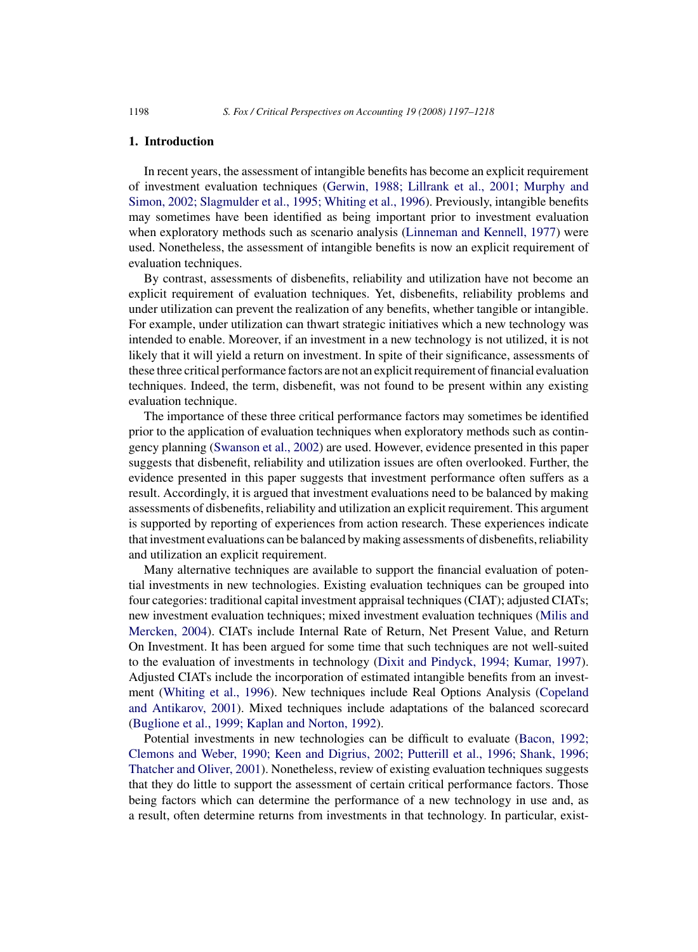#### **1. Introduction**

In recent years, the assessment of intangible benefits has become an explicit requirement of investment evaluation techniques ([Gerwin, 1988; Lillrank et al., 2001; Murphy and](#page--1-0) [Simon, 2002; Slagmulder et al., 1995; Whiting et al., 1996\).](#page--1-0) Previously, intangible benefits may sometimes have been identified as being important prior to investment evaluation when exploratory methods such as scenario analysis [\(Linneman and Kennell, 1977\)](#page--1-0) were used. Nonetheless, the assessment of intangible benefits is now an explicit requirement of evaluation techniques.

By contrast, assessments of disbenefits, reliability and utilization have not become an explicit requirement of evaluation techniques. Yet, disbenefits, reliability problems and under utilization can prevent the realization of any benefits, whether tangible or intangible. For example, under utilization can thwart strategic initiatives which a new technology was intended to enable. Moreover, if an investment in a new technology is not utilized, it is not likely that it will yield a return on investment. In spite of their significance, assessments of these three critical performance factors are not an explicit requirement of financial evaluation techniques. Indeed, the term, disbenefit, was not found to be present within any existing evaluation technique.

The importance of these three critical performance factors may sometimes be identified prior to the application of evaluation techniques when exploratory methods such as contingency planning ([Swanson et al., 2002\)](#page--1-0) are used. However, evidence presented in this paper suggests that disbenefit, reliability and utilization issues are often overlooked. Further, the evidence presented in this paper suggests that investment performance often suffers as a result. Accordingly, it is argued that investment evaluations need to be balanced by making assessments of disbenefits, reliability and utilization an explicit requirement. This argument is supported by reporting of experiences from action research. These experiences indicate that investment evaluations can be balanced by making assessments of disbenefits, reliability and utilization an explicit requirement.

Many alternative techniques are available to support the financial evaluation of potential investments in new technologies. Existing evaluation techniques can be grouped into four categories: traditional capital investment appraisal techniques (CIAT); adjusted CIATs; new investment evaluation techniques; mixed investment evaluation techniques [\(Milis and](#page--1-0) [Mercken, 2004\).](#page--1-0) CIATs include Internal Rate of Return, Net Present Value, and Return On Investment. It has been argued for some time that such techniques are not well-suited to the evaluation of investments in technology ([Dixit and Pindyck, 1994; Kumar, 1997\).](#page--1-0) Adjusted CIATs include the incorporation of estimated intangible benefits from an investment [\(Whiting et al., 1996\).](#page--1-0) New techniques include Real Options Analysis ([Copeland](#page--1-0) [and Antikarov, 2001\).](#page--1-0) Mixed techniques include adaptations of the balanced scorecard ([Buglione et al., 1999; Kaplan and Norton, 1992\).](#page--1-0)

Potential investments in new technologies can be difficult to evaluate ([Bacon, 1992;](#page--1-0) [Clemons and Weber, 1990; Keen and Digrius, 2002; Putterill et al., 1996; Shank, 1996;](#page--1-0) [Thatcher and Oliver, 2001\).](#page--1-0) Nonetheless, review of existing evaluation techniques suggests that they do little to support the assessment of certain critical performance factors. Those being factors which can determine the performance of a new technology in use and, as a result, often determine returns from investments in that technology. In particular, exist-